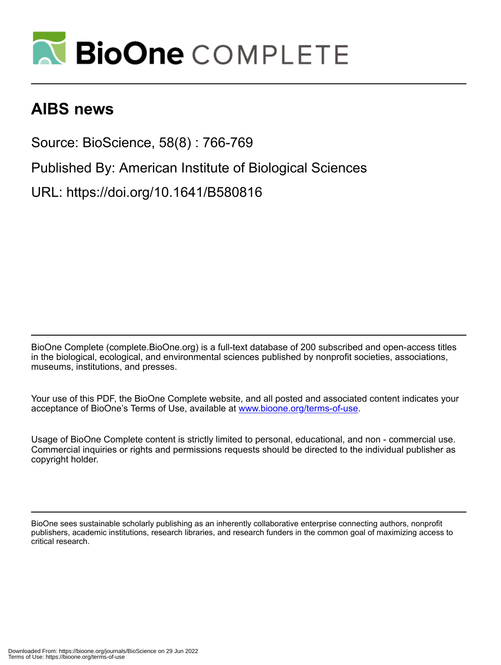

### **AIBS news**

Source: BioScience, 58(8) : 766-769

Published By: American Institute of Biological Sciences

URL: https://doi.org/10.1641/B580816

BioOne Complete (complete.BioOne.org) is a full-text database of 200 subscribed and open-access titles in the biological, ecological, and environmental sciences published by nonprofit societies, associations, museums, institutions, and presses.

Your use of this PDF, the BioOne Complete website, and all posted and associated content indicates your acceptance of BioOne's Terms of Use, available at www.bioone.org/terms-of-use.

Usage of BioOne Complete content is strictly limited to personal, educational, and non - commercial use. Commercial inquiries or rights and permissions requests should be directed to the individual publisher as copyright holder.

BioOne sees sustainable scholarly publishing as an inherently collaborative enterprise connecting authors, nonprofit publishers, academic institutions, research libraries, and research funders in the common goal of maximizing access to critical research.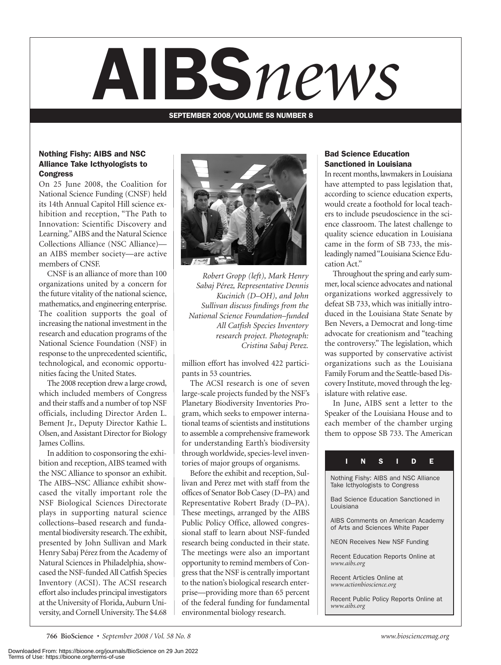# AIBS*news*

SEPTEMBER 2008/VOLUME 58 NUMBER 8

#### Nothing Fishy: AIBS and NSC Alliance Take Icthyologists to **Congress**

On 25 June 2008, the Coalition for National Science Funding (CNSF) held its 14th Annual Capitol Hill science exhibition and reception, "The Path to Innovation: Scientific Discovery and Learning." AIBS and the Natural Science Collections Alliance (NSC Alliance) an AIBS member society—are active members of CNSF.

CNSF is an alliance of more than 100 organizations united by a concern for the future vitality of the national science, mathematics, and engineering enterprise. The coalition supports the goal of increasing the national investment in the research and education programs of the National Science Foundation (NSF) in response to the unprecedented scientific, technological, and economic opportunities facing the United States.

The 2008 reception drew a large crowd, which included members of Congress and their staffs and a number of top NSF officials, including Director Arden L. Bement Jr., Deputy Director Kathie L. Olsen, and Assistant Director for Biology James Collins.

In addition to cosponsoring the exhibition and reception, AIBS teamed with the NSC Alliance to sponsor an exhibit. The AIBS–NSC Alliance exhibit showcased the vitally important role the NSF Biological Sciences Directorate plays in supporting natural science collections–based research and fundamental biodiversity research. The exhibit, presented by John Sullivan and Mark Henry Sabaj Pérez from the Academy of Natural Sciences in Philadelphia, showcased the NSF-funded All Catfish Species Inventory (ACSI). The ACSI research effort also includes principal investigators at the University of Florida, Auburn University, and Cornell University. The \$4.68



*Robert Gropp (left), Mark Henry Sabaj Pérez, Representative Dennis Kucinich (D–OH), and John Sullivan discuss findings from the National Science Foundation–funded All Catfish Species Inventory research project. Photograph: Cristina Sabaj Perez.*

million effort has involved 422 participants in 53 countries.

The ACSI research is one of seven large-scale projects funded by the NSF's Planetary Biodiversity Inventories Program, which seeks to empower international teams of scientists and institutions to assemble a comprehensive framework for understanding Earth's biodiversity through worldwide, species-level inventories of major groups of organisms.

Before the exhibit and reception, Sullivan and Perez met with staff from the offices of Senator Bob Casey (D–PA) and Representative Robert Brady (D–PA). These meetings, arranged by the AIBS Public Policy Office, allowed congressional staff to learn about NSF-funded research being conducted in their state. The meetings were also an important opportunity to remind members of Congress that the NSF is centrally important to the nation's biological research enterprise—providing more than 65 percent of the federal funding for fundamental environmental biology research.

#### Bad Science Education Sanctioned in Louisiana

In recent months, lawmakers in Louisiana have attempted to pass legislation that, according to science education experts, would create a foothold for local teachers to include pseudoscience in the science classroom. The latest challenge to quality science education in Louisiana came in the form of SB 733, the misleadingly named "Louisiana Science Education Act."

Throughout the spring and early summer, local science advocates and national organizations worked aggressively to defeat SB 733, which was initially introduced in the Louisiana State Senate by Ben Nevers, a Democrat and long-time advocate for creationism and "teaching the controversy." The legislation, which was supported by conservative activist organizations such as the Louisiana Family Forum and the Seattle-based Discovery Institute, moved through the legislature with relative ease.

In June, AIBS sent a letter to the Speaker of the Louisiana House and to each member of the chamber urging them to oppose SB 733. The American

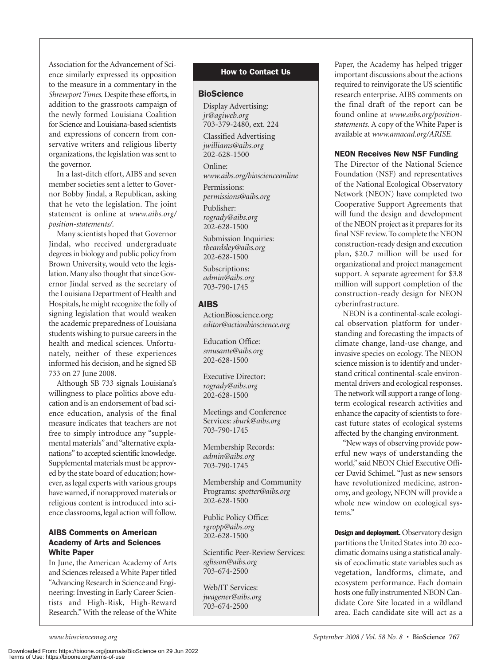Association for the Advancement of Science similarly expressed its opposition to the measure in a commentary in the *Shreveport Times.* Despite these efforts, in addition to the grassroots campaign of the newly formed Louisiana Coalition for Science and Louisiana-based scientists and expressions of concern from conservative writers and religious liberty organizations, the legislation was sent to the governor.

In a last-ditch effort, AIBS and seven member societies sent a letter to Governor Bobby Jindal, a Republican, asking that he veto the legislation. The joint statement is online at *www.aibs.org/ position-statements/.*

Many scientists hoped that Governor Jindal, who received undergraduate degrees in biology and public policy from Brown University, would veto the legislation. Many also thought that since Governor Jindal served as the secretary of the Louisiana Department of Health and Hospitals, he might recognize the folly of signing legislation that would weaken the academic preparedness of Louisiana students wishing to pursue careers in the health and medical sciences. Unfortunately, neither of these experiences informed his decision, and he signed SB 733 on 27 June 2008.

Although SB 733 signals Louisiana's willingness to place politics above education and is an endorsement of bad science education, analysis of the final measure indicates that teachers are not free to simply introduce any "supplemental materials" and "alternative explanations" to accepted scientific knowledge. Supplemental materials must be approved by the state board of education; however, as legal experts with various groups have warned, if nonapproved materials or religious content is introduced into science classrooms, legal action will follow.

#### AIBS Comments on American Academy of Arts and Sciences White Paper

In June, the American Academy of Arts and Sciences released a White Paper titled "Advancing Research in Science and Engineering: Investing in Early Career Scientists and High-Risk, High-Reward Research." With the release of the White

#### How to Contact Us

#### **BioScience**

Display Advertising: *jr@agiweb.org* 703-379-2480, ext. 224

Classified Advertising *jwilliams@aibs.org* 202-628-1500

Online: *www.aibs.org/bioscienceonline*

Permissions: *permissions@aibs.org*

Publisher: *rogrady@aibs.org* 202-628-1500

Submission Inquiries: *tbeardsley@aibs.org* 202-628-1500

Subscriptions: *admin@aibs.org* 703-790-1745

#### AIBS

ActionBioscience.org: *editor@actionbioscience.org*

Education Office: *smusante@aibs.org* 202-628-1500

Executive Director: *rogrady@aibs.org* 202-628-1500

Meetings and Conference Services: *sburk@aibs.org* 703-790-1745

Membership Records: *admin@aibs.org* 703-790-1745

Membership and Community Programs: *spotter@aibs.org* 202-628-1500

Public Policy Office: *rgropp@aibs.org* 202-628-1500

Scientific Peer-Review Services: *sglisson@aibs.org* 703-674-2500

Web/IT Services: *jwagener@aibs.org* 703-674-2500

Paper, the Academy has helped trigger important discussions about the actions required to reinvigorate the US scientific research enterprise. AIBS comments on the final draft of the report can be found online at *www.aibs.org/positionstatements.* A copy of the White Paper is available at *www.amacad.org/ARISE.*

#### NEON Receives New NSF Funding

The Director of the National Science Foundation (NSF) and representatives of the National Ecological Observatory Network (NEON) have completed two Cooperative Support Agreements that will fund the design and development of the NEON project as it prepares for its final NSF review. To complete the NEON construction-ready design and execution plan, \$20.7 million will be used for organizational and project management support. A separate agreement for \$3.8 million will support completion of the construction-ready design for NEON cyberinfrastructure.

NEON is a continental-scale ecological observation platform for understanding and forecasting the impacts of climate change, land-use change, and invasive species on ecology. The NEON science mission is to identify and understand critical continental-scale environmental drivers and ecological responses. The network will support a range of longterm ecological research activities and enhance the capacity of scientists to forecast future states of ecological systems affected by the changing environment.

"New ways of observing provide powerful new ways of understanding the world," said NEON Chief Executive Officer David Schimel. "Just as new sensors have revolutionized medicine, astronomy, and geology, NEON will provide a whole new window on ecological systems."

Design and deployment. Observatory design partitions the United States into 20 ecoclimatic domains using a statistical analysis of ecoclimatic state variables such as vegetation, landforms, climate, and ecosystem performance. Each domain hosts one fully instrumented NEON Candidate Core Site located in a wildland area. Each candidate site will act as a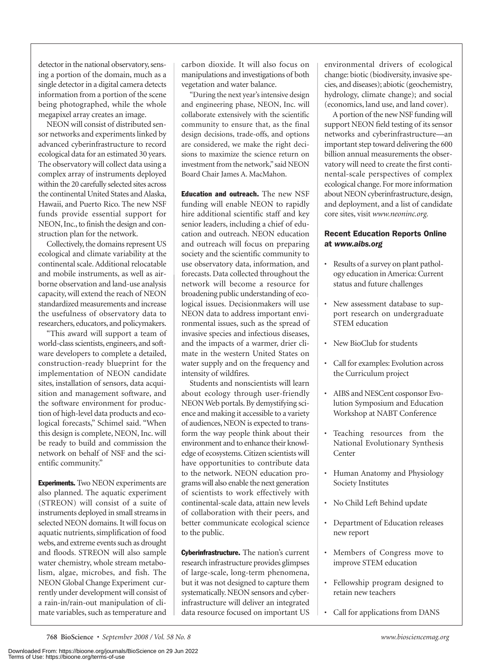detector in the national observatory, sensing a portion of the domain, much as a single detector in a digital camera detects information from a portion of the scene being photographed, while the whole megapixel array creates an image.

NEON will consist of distributed sensor networks and experiments linked by advanced cyberinfrastructure to record ecological data for an estimated 30 years. The observatory will collect data using a complex array of instruments deployed within the 20 carefully selected sites across the continental United States and Alaska, Hawaii, and Puerto Rico. The new NSF funds provide essential support for NEON, Inc., to finish the design and construction plan for the network.

Collectively, the domains represent US ecological and climate variability at the continental scale. Additional relocatable and mobile instruments, as well as airborne observation and land-use analysis capacity, will extend the reach of NEON standardized measurements and increase the usefulness of observatory data to researchers, educators, and policymakers.

"This award will support a team of world-class scientists, engineers, and software developers to complete a detailed, construction-ready blueprint for the implementation of NEON candidate sites, installation of sensors, data acquisition and management software, and the software environment for production of high-level data products and ecological forecasts," Schimel said. "When this design is complete, NEON, Inc. will be ready to build and commission the network on behalf of NSF and the scientific community."

**Experiments.** Two NEON experiments are also planned. The aquatic experiment (STREON) will consist of a suite of instruments deployed in small streams in selected NEON domains. It will focus on aquatic nutrients, simplification of food webs, and extreme events such as drought and floods. STREON will also sample water chemistry, whole stream metabolism, algae, microbes, and fish. The NEON Global Change Experiment currently under development will consist of a rain-in/rain-out manipulation of climate variables, such as temperature and

carbon dioxide. It will also focus on manipulations and investigations of both vegetation and water balance.

"During the next year's intensive design and engineering phase, NEON, Inc. will collaborate extensively with the scientific community to ensure that, as the final design decisions, trade-offs, and options are considered, we make the right decisions to maximize the science return on investment from the network," said NEON Board Chair James A. MacMahon.

Education and outreach. The new NSF funding will enable NEON to rapidly hire additional scientific staff and key senior leaders, including a chief of education and outreach. NEON education and outreach will focus on preparing society and the scientific community to use observatory data, information, and forecasts. Data collected throughout the network will become a resource for broadening public understanding of ecological issues. Decisionmakers will use NEON data to address important environmental issues, such as the spread of invasive species and infectious diseases, and the impacts of a warmer, drier climate in the western United States on water supply and on the frequency and intensity of wildfires.

Students and nonscientists will learn about ecology through user-friendly NEON Web portals. By demystifying science and making it accessible to a variety of audiences, NEON is expected to transform the way people think about their environment and to enhance their knowledge of ecosystems. Citizen scientists will have opportunities to contribute data to the network. NEON education programs will also enable the next generation of scientists to work effectively with continental-scale data, attain new levels of collaboration with their peers, and better communicate ecological science to the public.

Cyberinfrastructure. The nation's current research infrastructure provides glimpses of large-scale, long-term phenomena, but it was not designed to capture them systematically. NEON sensors and cyberinfrastructure will deliver an integrated data resource focused on important US

environmental drivers of ecological change: biotic (biodiversity, invasive spe cies, and diseases); abiotic (geochemistry, hydrology, climate change); and social (economics, land use, and land cover).

A portion of the new NSF funding will support NEON field testing of its sensor networks and cyberinfrastructure—an important step toward delivering the 600 billion annual measurements the observatory will need to create the first continental-scale perspectives of complex ecological change. For more information about NEON cyberinfrastructure, design, and deployment, and a list of candidate core sites, visit *www.neoninc.org.*

#### Recent Education Reports Online at *www.aibs.org*

- Results of a survey on plant pathology education in America: Current status and future challenges
- New assessment database to support research on undergraduate STEM education
- New BioClub for students
- Call for examples: Evolution across the Curriculum project
- AIBS and NESCent cosponsor Evolution Symposium and Education Workshop at NABT Conference
- Teaching resources from the National Evolutionary Synthesis **Center**
- Human Anatomy and Physiology Society Institutes
- No Child Left Behind update
- Department of Education releases new report
- Members of Congress move to improve STEM education
- Fellowship program designed to retain new teachers
- Call for applications from DANS